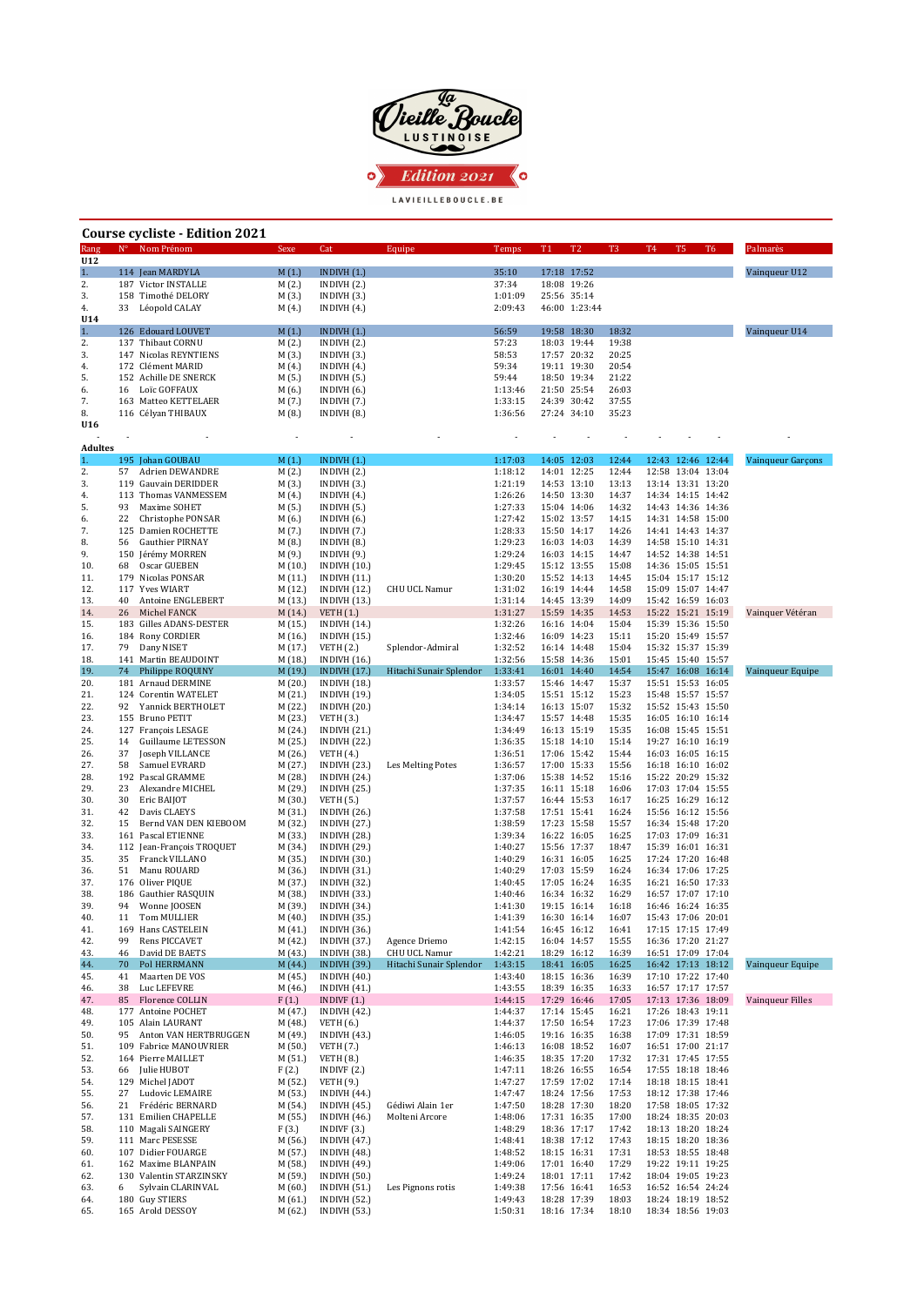

| Course cycliste - Edition 2021 |          |                                             |                    |                                            |                                    |                    |    |                              |                |       |                                        |                |                   |
|--------------------------------|----------|---------------------------------------------|--------------------|--------------------------------------------|------------------------------------|--------------------|----|------------------------------|----------------|-------|----------------------------------------|----------------|-------------------|
| Rang<br>U12                    |          | N° Nom Prénom                               | Sexe               | Cat                                        | Equipe                             | Temps              | T1 | T <sub>2</sub>               | T <sub>3</sub> | T4    | T5                                     | T <sub>6</sub> | Palmarès          |
| 1.                             |          | 114 Jean MARDYLA                            | M(1.)              | INDIVH(1.)                                 |                                    | 35:10              |    | 17:18 17:52                  |                |       |                                        |                | Vainqueur U12     |
| 2.                             |          | 187 Victor INSTALLE                         | M(2.)              | INDIVH(2.)                                 |                                    | 37:34              |    | 18:08 19:26                  |                |       |                                        |                |                   |
| 3.<br>4.                       | 33       | 158 Timothé DELORY<br>Léopold CALAY         | M(3.)<br>M(4.)     | INDIVH(3.)<br>INDIVH $(4.)$                |                                    | 1:01:09<br>2:09:43 |    | 25:56 35:14<br>46:00 1:23:44 |                |       |                                        |                |                   |
| U14                            |          |                                             |                    |                                            |                                    |                    |    |                              |                |       |                                        |                |                   |
| 1.<br>2.                       |          | 126 Edouard LOUVET<br>137 Thibaut CORNU     | M(1.)<br>M(2.)     | INDIVH $(1.)$<br>INDIVH(2.)                |                                    | 56:59<br>57:23     |    | 19:58 18:30<br>18:03 19:44   | 18:32<br>19:38 |       |                                        |                | Vainqueur U14     |
| 3.                             |          | 147 Nicolas REYNTIENS                       | M(3.)              | INDIVH (3.)                                |                                    | 58:53              |    | 17:57 20:32                  | 20:25          |       |                                        |                |                   |
| 4.                             |          | 172 Clément MARID                           | M(4.)              | INDIVH $(4.)$                              |                                    | 59:34              |    | 19:11 19:30                  | 20:54          |       |                                        |                |                   |
| 5.<br>6.                       | 16       | 152 Achille DE SNERCK<br>Loïc GOFFAUX       | M (5.)<br>M(6.)    | INDIVH(5.)<br>INDIVH $(6.)$                |                                    | 59:44<br>1:13:46   |    | 18:50 19:34<br>21:50 25:54   | 21:22<br>26:03 |       |                                        |                |                   |
| 7.                             |          | 163 Matteo KETTELAER                        | M (7.)             | INDIVH (7.)                                |                                    | 1:33:15            |    | 24:39 30:42                  | 37:55          |       |                                        |                |                   |
| 8.<br>U16                      |          | 116 Célyan THIBAUX                          | M(8.)              | INDIVH (8.)                                |                                    | 1:36:56            |    | 27:24 34:10                  | 35:23          |       |                                        |                |                   |
|                                |          |                                             | ×                  | $\overline{\phantom{a}}$                   |                                    | ×                  | ÷, | $\overline{\phantom{a}}$     |                |       |                                        |                |                   |
| <b>Adultes</b><br>1.           |          | 195 Johan GOUBAU                            | M(1.)              | INDIVH $(1.)$                              |                                    | 1:17:03            |    | 14:05 12:03                  | 12:44          |       | 12:43 12:46 12:44                      |                | Vainqueur Garçons |
| 2.                             | 57       | <b>Adrien DEWANDRE</b>                      | M (2.)             | INDIVH(2.)                                 |                                    | 1:18:12            |    | 14:01 12:25                  | 12:44          | 12:58 | 13:04 13:04                            |                |                   |
| 3.                             | 119      | Gauvain DERIDDER                            | M(3.)              | INDIVH(3.)                                 |                                    | 1:21:19            |    | 14:53 13:10                  | 13:13          |       | 13:14 13:31 13:20                      |                |                   |
| 4.<br>5.                       | 93       | 113 Thomas VANMESSEM<br>Maxime SOHET        | M (4.)<br>M (5.)   | INDIVH $(4.)$<br>INDIVH (5.)               |                                    | 1:26:26<br>1:27:33 |    | 14:50 13:30<br>15:04 14:06   | 14:37<br>14:32 |       | 14:34 14:15 14:42<br>14:43 14:36 14:36 |                |                   |
| 6.                             | 22       | Christophe PONSAR                           | M (6.)             | INDIVH $(6.)$                              |                                    | 1:27:42            |    | 15:02 13:57                  | 14:15          |       | 14:31 14:58 15:00                      |                |                   |
| 7.<br>8.                       | 56       | 125 Damien ROCHETTE<br>Gauthier PIRNAY      | M (7.)<br>M(8.)    | INDIVH (7.)                                |                                    | 1:28:33<br>1:29:23 |    | 15:50 14:17<br>16:03 14:03   | 14:26<br>14:39 |       | 14:41 14:43 14:37<br>14:58 15:10 14:31 |                |                   |
| 9.                             | 150      | Jérémy MORREN                               | M (9.)             | INDIVH (8.)<br>INDIVH (9.)                 |                                    | 1:29:24            |    | 16:03 14:15                  | 14:47          |       | 14:52 14:38 14:51                      |                |                   |
| 10.                            | 68       | Oscar GUEBEN                                | M(10.)             | <b>INDIVH (10.)</b>                        |                                    | 1:29:45            |    | 15:12 13:55                  | 15:08          |       | 14:36 15:05 15:51                      |                |                   |
| 11.<br>12.                     |          | 179 Nicolas PONSAR<br>117 Yves WIART        | M (11.)<br>M (12.) | INDIVH(11.)<br>INDIVH (12.)                | <b>CHU UCL Namur</b>               | 1:30:20<br>1:31:02 |    | 15:52 14:13<br>16:19 14:44   | 14:45<br>14:58 |       | 15:04 15:17 15:12<br>15:09 15:07 14:47 |                |                   |
| 13.                            | 40       | Antoine ENGLEBERT                           | M (13.)            | <b>INDIVH (13.)</b>                        |                                    | 1:31:14            |    | 14:45 13:39                  | 14:09          |       | 15:42 16:59 16:03                      |                |                   |
| 14.                            | 26       | Michel FANCK                                | M (14.)            | <b>VETH</b> (1.)                           |                                    | 1:31:27            |    | 15:59 14:35                  | 14:53          |       | 15:22 15:21 15:19                      |                | Vainquer Vétéran  |
| 15.<br>16.                     |          | 183 Gilles ADANS-DESTER<br>184 Rony CORDIER | M (15.)<br>M (16.) | INDIVH $(14.)$<br><b>INDIVH (15.)</b>      |                                    | 1:32:26<br>1:32:46 |    | 16:16 14:04<br>16:09 14:23   | 15:04<br>15:11 |       | 15:39 15:36 15:50<br>15:20 15:49 15:57 |                |                   |
| 17.                            | 79       | Dany NISET                                  | M (17.)            | <b>VETH (2.)</b>                           | Splendor-Admiral                   | 1:32:52            |    | 16:14 14:48                  | 15:04          |       | 15:32 15:37 15:39                      |                |                   |
| 18.                            |          | 141 Martin BEAUDOINT                        | M (18.)            | <b>INDIVH (16.)</b>                        |                                    | 1:32:56            |    | 15:58 14:36                  | 15:01          |       | 15:45 15:40 15:57                      |                |                   |
| 19.<br>20.                     | 74       | Philippe ROQUINY<br>181 Arnaud DERMINE      | M (19.)<br>M(20.)  | INDIVH $(17.)$<br><b>INDIVH (18.)</b>      | Hitachi Sunair Splendor            | 1:33:41<br>1:33:57 |    | 16:01 14:40<br>15:46 14:47   | 14:54<br>15:37 |       | 15:47 16:08 16:14<br>15:51 15:53 16:05 |                | Vainqueur Equipe  |
| 21.                            |          | 124 Corentin WATELET                        | M (21.)            | <b>INDIVH (19.)</b>                        |                                    | 1:34:05            |    | 15:51 15:12                  | 15:23          |       | 15:48 15:57 15:57                      |                |                   |
| 22.<br>23.                     | 92       | Yannick BERTHOLET<br>155 Bruno PETIT        | M (22.)<br>M (23.) | <b>INDIVH (20.)</b><br><b>VETH</b> (3.)    |                                    | 1:34:14<br>1:34:47 |    | 16:13 15:07<br>15:57 14:48   | 15:32<br>15:35 |       | 15:52 15:43 15:50<br>16:05 16:10 16:14 |                |                   |
| 24.                            |          | 127 François LESAGE                         | M (24.)            | INDIVH(21.)                                |                                    | 1:34:49            |    | 16:13 15:19                  | 15:35          |       | 16:08 15:45 15:51                      |                |                   |
| 25.                            | 14       | Guillaume LETESSON                          | M (25.)            | <b>INDIVH (22.)</b>                        |                                    | 1:36:35            |    | 15:18 14:10                  | 15:14          |       | 19:27 16:10 16:19                      |                |                   |
| 26.<br>27.                     | 37<br>58 | Joseph VILLANCE<br>Samuel EVRARD            | M (26.)<br>M (27.) | <b>VETH</b> (4.)<br>INDIVH (23.)           | Les Melting Potes                  | 1:36:51<br>1:36:57 |    | 17:06 15:42<br>17:00 15:33   | 15:44<br>15:56 |       | 16:03 16:05 16:15<br>16:18 16:10 16:02 |                |                   |
| 28.                            |          | 192 Pascal GRAMME                           | M (28.)            | <b>INDIVH (24.)</b>                        |                                    | 1:37:06            |    | 15:38 14:52                  | 15:16          |       | 15:22 20:29 15:32                      |                |                   |
| 29.                            | 23       | Alexandre MICHEL                            | M (29.)            | <b>INDIVH (25.)</b>                        |                                    | 1:37:35            |    | 16:11 15:18                  | 16:06          |       | 17:03 17:04 15:55                      |                |                   |
| 30.<br>31.                     | 30<br>42 | Eric BAIJOT<br>Davis CLAEYS                 | M (30.)<br>M (31.) | <b>VETH (5.)</b><br><b>INDIVH (26.)</b>    |                                    | 1:37:57<br>1:37:58 |    | 16:44 15:53<br>17:51 15:41   | 16:17<br>16:24 |       | 16:25 16:29 16:12<br>15:56 16:12 15:56 |                |                   |
| 32.                            | 15       | Bernd VAN DEN KIEBOOM                       | M (32.)            | <b>INDIVH (27.)</b>                        |                                    | 1:38:59            |    | 17:23 15:58                  | 15:57          |       | 16:34 15:48 17:20                      |                |                   |
| 33.<br>34.                     | 112      | 161 Pascal ETIENNE<br>Jean-François TROQUET | M (33.)<br>M (34.) | <b>INDIVH (28.)</b><br>INDIVH (29.)        |                                    | 1:39:34<br>1:40:27 |    | 16:22 16:05<br>15:56 17:37   | 16:25<br>18:47 |       | 17:03 17:09 16:31<br>15:39 16:01 16:31 |                |                   |
| 35.                            | 35       | Franck VILLANO                              | M (35.)            | <b>INDIVH (30.)</b>                        |                                    | 1:40:29            |    | 16:31 16:05                  | 16:25          |       | 17:24 17:20 16:48                      |                |                   |
| 36.                            | 51       | Manu ROUARD                                 | M (36.)            | INDIVH (31.)                               |                                    | 1:40:29            |    | 17:03 15:59                  | 16:24          |       | 16:34 17:06 17:25                      |                |                   |
| 37.<br>38.                     |          | 176 Oliver PIQUE<br>186 Gauthier RASQUIN    | M (37.)<br>M (38.) | <b>INDIVH (32.)</b><br>INDIVH (33.)        |                                    | 1:40:45<br>1:40:46 |    | 17:05 16:24<br>16:34 16:32   | 16:35<br>16:29 |       | 16:21 16:50 17:33<br>16:57 17:07 17:10 |                |                   |
| 39.                            | 94       | Wonne JOOSEN                                | M (39.)            | INDIVH (34.)                               |                                    | 1:41:30            |    | 19:15 16:14                  | 16:18          |       | 16:46 16:24 16:35                      |                |                   |
| 40.                            | 11       | Tom MULLIER                                 | M (40.)            | INDIVH (35.)                               |                                    | 1:41:39            |    | 16:30 16:14                  | 16:07          |       | 15:43 17:06 20:01                      |                |                   |
| 41.<br>42.                     | 99       | 169 Hans CASTELEIN<br>Rens PICCAVET         | M (41.)<br>M (42.) | <b>INDIVH (36.)</b><br><b>INDIVH (37.)</b> | Agence Driemo                      | 1:41:54<br>1:42:15 |    | 16:45 16:12<br>16:04 14:57   | 16:41<br>15:55 |       | 17:15 17:15 17:49<br>16:36 17:20 21:27 |                |                   |
| 43.                            | 46       | David DE BAETS                              | M (43.)            | <b>INDIVH (38.)</b>                        | CHU UCL Namur                      | 1:42:21            |    | 18:29 16:12                  | 16:39          |       | 16:51 17:09 17:04                      |                |                   |
| 44.                            | 70       | Pol HERRMANN                                | M (44.)            | <b>INDIVH (39.)</b>                        | Hitachi Sunair Splendor            | 1:43:15            |    | 18:41 16:05                  | 16:25          |       | 16:42 17:13 18:12                      |                | Vainqueur Equipe  |
| 45.<br>46.                     | 41<br>38 | Maarten DE VOS<br>Luc LEFEVRE               | M (45.)<br>M (46.) | <b>INDIVH (40.)</b><br>INDIVH $(41.)$      |                                    | 1:43:40<br>1:43:55 |    | 18:15 16:36<br>18:39 16:35   | 16:39<br>16:33 |       | 17:10 17:22 17:40<br>16:57 17:17 17:57 |                |                   |
| 47.                            | 85       | Florence COLLIN                             | F(1.)              | INDIVF $(1.)$                              |                                    | 1:44:15            |    | 17:29 16:46                  | 17:05          |       | 17:13 17:36 18:09                      |                | Vainqueur Filles  |
| 48.<br>49.                     |          | 177 Antoine POCHET<br>105 Alain LAURANT     | M (47.)<br>M (48.) | <b>INDIVH (42.)</b><br><b>VETH</b> (6.)    |                                    | 1:44:37<br>1:44:37 |    | 17:14 15:45<br>17:50 16:54   | 16:21<br>17:23 |       | 17:26 18:43 19:11<br>17:06 17:39 17:48 |                |                   |
| 50.                            | 95       | Anton VAN HERTBRUGGEN                       | M (49.)            | INDIVH (43.)                               |                                    | 1:46:05            |    | 19:16 16:35                  | 16:38          |       | 17:09 17:31 18:59                      |                |                   |
| 51.                            | 109      | Fabrice MANOUVRIER                          | M (50.)            | <b>VETH (7.)</b>                           |                                    | 1:46:13            |    | 16:08 18:52                  | 16:07          |       | 16:51 17:00 21:17                      |                |                   |
| 52.<br>53.                     | 66       | 164 Pierre MAILLET<br>Julie HUBOT           | M (51.)<br>F(2.)   | <b>VETH</b> (8.)<br>INDIVF $(2.)$          |                                    | 1:46:35<br>1:47:11 |    | 18:35 17:20<br>18:26 16:55   | 17:32<br>16:54 |       | 17:31 17:45 17:55<br>17:55 18:18 18:46 |                |                   |
| 54.                            |          | 129 Michel JADOT                            | M (52.)            | <b>VETH (9.)</b>                           |                                    | 1:47:27            |    | 17:59 17:02                  | 17:14          |       | 18:18 18:15 18:41                      |                |                   |
| 55.                            | 27       | Ludovic LEMAIRE                             | M (53.)            | INDIVH $(44.)$                             |                                    | 1:47:47            |    | 18:24 17:56                  | 17:53          |       | 18:12 17:38 17:46                      |                |                   |
| 56.<br>57.                     | 21       | Frédéric BERNARD<br>131 Emilien CHAPELLE    | M (54.)<br>M (55.) | <b>INDIVH (45.)</b><br><b>INDIVH (46.)</b> | Gédiwi Alain 1er<br>Molteni Arcore | 1:47:50<br>1:48:06 |    | 18:28 17:30<br>17:31 16:35   | 18:20<br>17:00 |       | 17:58 18:05 17:32<br>18:24 18:35 20:03 |                |                   |
| 58.                            |          | 110 Magali SAINGERY                         | F(3.)              | INDIVF $(3.)$                              |                                    | 1:48:29            |    | 18:36 17:17                  | 17:42          |       | 18:13 18:20 18:24                      |                |                   |
| 59.                            |          | 111 Marc PESESSE<br>107 Didier FOUARGE      | M (56.)            | <b>INDIVH (47.)</b><br><b>INDIVH (48.)</b> |                                    | 1:48:41<br>1:48:52 |    | 18:38 17:12<br>18:15 16:31   | 17:43<br>17:31 |       | 18:15 18:20 18:36<br>18:53 18:55 18:48 |                |                   |
| 60.<br>61.                     |          | 162 Maxime BLANPAIN                         | M (57.)<br>M (58.) | <b>INDIVH (49.)</b>                        |                                    | 1:49:06            |    | 17:01 16:40                  | 17:29          |       | 19:22 19:11 19:25                      |                |                   |
| 62.                            |          | 130 Valentin STARZINSKY                     | M (59.)            | <b>INDIVH (50.)</b>                        |                                    | 1:49:24            |    | 18:01 17:11                  | 17:42          |       | 18:04 19:05 19:23                      |                |                   |
| 63.<br>64.                     | 6        | Sylvain CLARINVAL<br>180 Guy STIERS         | M (60.)<br>M (61.) | <b>INDIVH (51.)</b><br><b>INDIVH (52.)</b> | Les Pignons rotis                  | 1:49:38<br>1:49:43 |    | 17:56 16:41<br>18:28 17:39   | 16:53<br>18:03 |       | 16:52 16:54 24:24<br>18:24 18:19 18:52 |                |                   |
| 65.                            |          | 165 Arold DESSOY                            | M (62.)            | <b>INDIVH (53.)</b>                        |                                    | 1:50:31            |    | 18:16 17:34                  | 18:10          |       | 18:34 18:56 19:03                      |                |                   |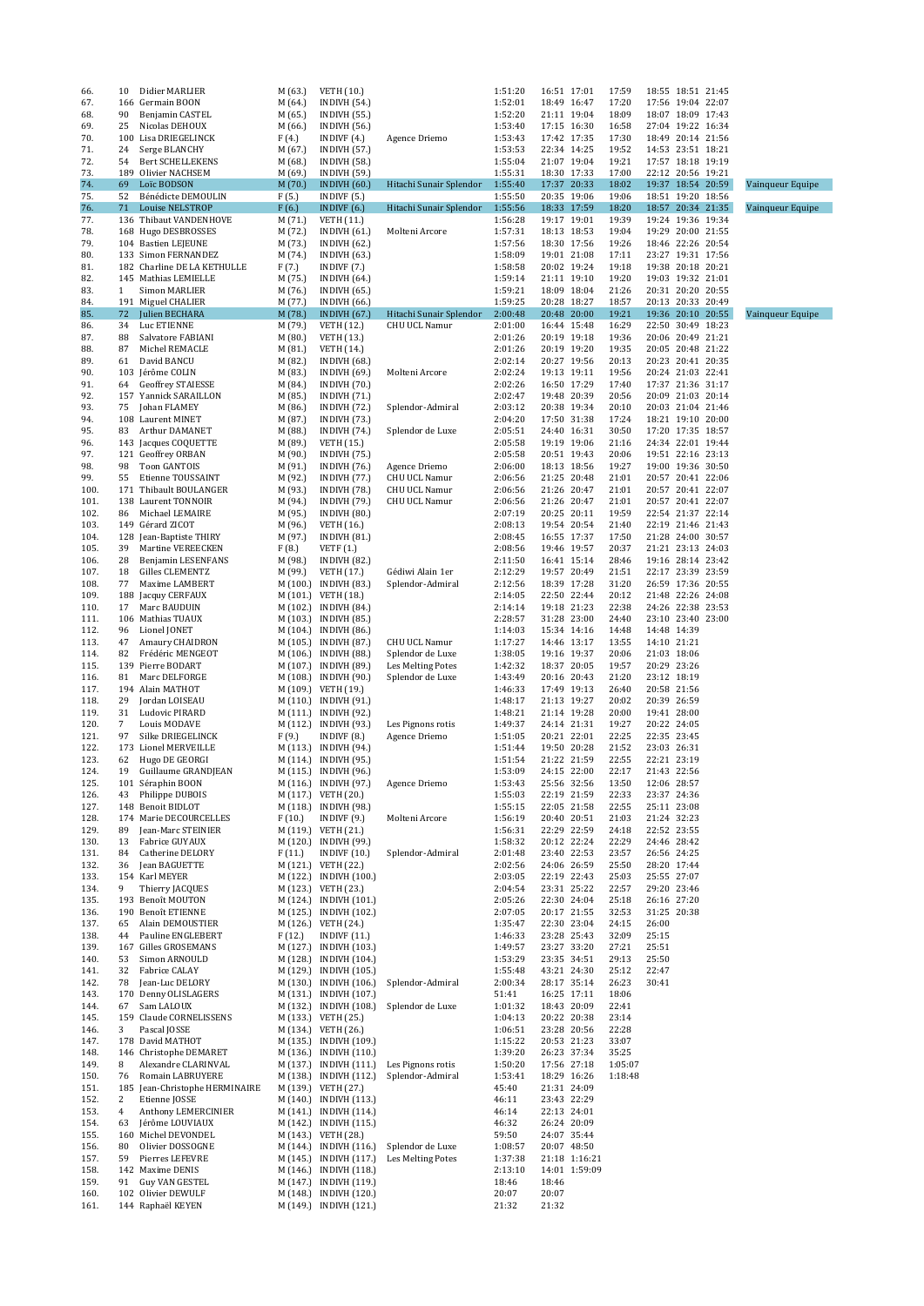| 66.          | 10           | Didier MARLIER                                | M (63.)            | <b>VETH</b> (10.)                                |                                       | 1:51:20            | 16:51 17:01                |               | 17:59            |                            | 18:55 18:51 21:45                      |                  |
|--------------|--------------|-----------------------------------------------|--------------------|--------------------------------------------------|---------------------------------------|--------------------|----------------------------|---------------|------------------|----------------------------|----------------------------------------|------------------|
| 67.<br>68.   | 90           | 166 Germain BOON<br>Benjamin CASTEL           | M (64.)<br>M (65.) | <b>INDIVH (54.)</b><br><b>INDIVH (55.)</b>       |                                       | 1:52:01<br>1:52:20 | 18:49 16:47<br>21:11 19:04 |               | 17:20<br>18:09   |                            | 17:56 19:04 22:07<br>18:07 18:09 17:43 |                  |
| 69.          | 25           | Nicolas DEHOUX                                | M (66.)            | <b>INDIVH (56.)</b>                              |                                       | 1:53:40            | 17:15 16:30                |               | 16:58            |                            | 27:04 19:22 16:34                      |                  |
| 70.          | 100          | Lisa DRIEGELINCK                              | F(4.)              | INDIVF $(4.)$                                    | Agence Driemo                         | 1:53:43            | 17:42 17:35                |               | 17:30            |                            | 18:49 20:14 21:56                      |                  |
| 71.          | 24           | Serge BLANCHY                                 | M (67.)            | <b>INDIVH (57.)</b>                              |                                       | 1:53:53            | 22:34 14:25                |               | 19:52            |                            | 14:53 23:51 18:21                      |                  |
| 72.<br>73.   | 54<br>189    | <b>Bert SCHELLEKENS</b><br>Olivier NACHSEM    | M (68.)<br>M (69.) | <b>INDIVH (58.)</b><br><b>INDIVH (59.)</b>       |                                       | 1:55:04<br>1:55:31 | 21:07 19:04<br>18:30 17:33 |               | 19:21<br>17:00   |                            | 17:57 18:18 19:19<br>22:12 20:56 19:21 |                  |
| 74.          | 69           | Loïc BODSON                                   | M(70.)             | <b>INDIVH (60.)</b>                              | Hitachi Sunair Splendor               | 1:55:40            | 17:37 20:33                |               | 18:02            |                            | 19:37 18:54 20:59                      | Vainqueur Equipe |
| 75.          | 52           | Bénédicte DEMOULIN                            | F(5.)              | INDIVF $(5.)$                                    |                                       | 1:55:50            | 20:35 19:06                |               | 19:06            |                            | 18:51 19:20 18:56                      |                  |
| 76.          | 71           | <b>Louise NELSTROP</b>                        | F(6.)              | INDIVF $(6.)$                                    | Hitachi Sunair Splendor               | 1:55:56            | 18:33 17:59                |               | 18:20            |                            | 18:57 20:34 21:35                      | Vainqueur Equipe |
| 77.          |              | 136 Thibaut VANDENHOVE                        | M (71.)            | VETH (11.)                                       |                                       | 1:56:28            | 19:17 19:01                |               | 19:39            |                            | 19:24 19:36 19:34                      |                  |
| 78.<br>79.   |              | 168 Hugo DESBROSSES<br>104 Bastien LEJEUNE    | M (72.)<br>M (73.) | INDIVH $(61.)$<br><b>INDIVH (62.)</b>            | Molteni Arcore                        | 1:57:31<br>1:57:56 | 18:13 18:53<br>18:30 17:56 |               | 19:04<br>19:26   |                            | 19:29 20:00 21:55<br>18:46 22:26 20:54 |                  |
| 80.          |              | 133 Simon FERNANDEZ                           | M (74.)            | <b>INDIVH (63.)</b>                              |                                       | 1:58:09            | 19:01 21:08                |               | 17:11            |                            | 23:27 19:31 17:56                      |                  |
| 81.          |              | 182 Charline DE LA KETHULLE                   | F(7.)              | INDIVF $(7.)$                                    |                                       | 1:58:58            | 20:02 19:24                |               | 19:18            |                            | 19:38 20:18 20:21                      |                  |
| 82.          |              | 145 Mathias LEMIELLE                          | M (75.)            | INDIVH $(64.)$                                   |                                       | 1:59:14            | 21:11 19:10                |               | 19:20            |                            | 19:03 19:32 21:01                      |                  |
| 83.          | $\mathbf{1}$ | Simon MARLIER                                 | M (76.)            | <b>INDIVH (65.)</b>                              |                                       | 1:59:21            | 18:09 18:04                |               | 21:26            |                            | 20:31 20:20 20:55                      |                  |
| 84.<br>85.   | 72           | 191 Miguel CHALIER<br>Julien BECHARA          | M (77.)<br>M (78.) | <b>INDIVH (66.)</b><br><b>INDIVH (67.)</b>       | Hitachi Sunair Splendor               | 1:59:25<br>2:00:48 | 20:28 18:27<br>20:48 20:00 |               | 18:57<br>19:21   |                            | 20:13 20:33 20:49<br>19:36 20:10 20:55 | Vainqueur Equipe |
| 86.          | 34           | Luc ETIENNE                                   | M (79.)            | VETH (12.)                                       | <b>CHU UCL Namur</b>                  | 2:01:00            | 16:44 15:48                |               | 16:29            |                            | 22:50 30:49 18:23                      |                  |
| 87.          | 88           | Salvatore FABIANI                             | M(80.)             | VETH (13.)                                       |                                       | 2:01:26            | 20:19 19:18                |               | 19:36            |                            | 20:06 20:49 21:21                      |                  |
| 88.          | 87           | Michel REMACLE                                | M (81.)            | <b>VETH</b> (14.)                                |                                       | 2:01:26            | 20:19 19:20                |               | 19:35            |                            | 20:05 20:48 21:22                      |                  |
| 89.          | 61           | David BANCU                                   | M (82.)            | <b>INDIVH (68.)</b>                              |                                       | 2:02:14            | 20:27 19:56                |               | 20:13            |                            | 20:23 20:41 20:35                      |                  |
| 90.<br>91.   | 103<br>64    | Jérôme COLIN<br><b>Geoffrey STAIESSE</b>      | M (83.)<br>M (84.) | <b>INDIVH (69.)</b><br><b>INDIVH (70.)</b>       | Molteni Arcore                        | 2:02:24<br>2:02:26 | 19:13 19:11<br>16:50 17:29 |               | 19:56<br>17:40   |                            | 20:24 21:03 22:41<br>17:37 21:36 31:17 |                  |
| 92.          |              | 157 Yannick SARAILLON                         | M (85.)            | <b>INDIVH (71.)</b>                              |                                       | 2:02:47            | 19:48 20:39                |               | 20:56            |                            | 20:09 21:03 20:14                      |                  |
| 93.          | 75           | Johan FLAMEY                                  | M (86.)            | <b>INDIVH (72.)</b>                              | Splendor-Admiral                      | 2:03:12            | 20:38 19:34                |               | 20:10            |                            | 20:03 21:04 21:46                      |                  |
| 94.          | 108          | Laurent MINET                                 | M (87.)            | <b>INDIVH (73.)</b>                              |                                       | 2:04:20            | 17:50 31:38                |               | 17:24            |                            | 18:21 19:10 20:00                      |                  |
| 95.          | 83           | Arthur DAMANET                                | M (88.)            | <b>INDIVH (74.)</b>                              | Splendor de Luxe                      | 2:05:51            | 24:40 16:31                |               | 30:50            |                            | 17:20 17:35 18:57                      |                  |
| 96.          | 143          | Jacques COQUETTE<br>121 Geoffrey ORBAN        | M (89.)            | VETH (15.)<br><b>INDIVH (75.)</b>                |                                       | 2:05:58<br>2:05:58 | 19:19 19:06<br>20:51 19:43 |               | 21:16<br>20:06   |                            | 24:34 22:01 19:44<br>19:51 22:16 23:13 |                  |
| 97.<br>98.   | 98           | <b>Toon GANTOIS</b>                           | M (90.)<br>M (91.) | <b>INDIVH (76.)</b>                              | Agence Driemo                         | 2:06:00            | 18:13 18:56                |               | 19:27            |                            | 19:00 19:36 30:50                      |                  |
| 99.          | 55           | Etienne TOUSSAINT                             | M (92.)            | <b>INDIVH (77.)</b>                              | CHU UCL Namur                         | 2:06:56            | 21:25 20:48                |               | 21:01            |                            | 20:57 20:41 22:06                      |                  |
| 100.         |              | 171 Thibault BOULANGER                        | M (93.)            | <b>INDIVH (78.)</b>                              | <b>CHU UCL Namur</b>                  | 2:06:56            | 21:26 20:47                |               | 21:01            |                            | 20:57 20:41 22:07                      |                  |
| 101.         | 138          | Laurent TONNOIR                               | M (94.)            | <b>INDIVH (79.)</b>                              | <b>CHU UCL Namur</b>                  | 2:06:56            | 21:26 20:47                |               | 21:01            |                            | 20:57 20:41 22:07                      |                  |
| 102.<br>103. | 86           | Michael LEMAIRE<br>149 Gérard ZICOT           | M (95.)            | <b>INDIVH (80.)</b><br><b>VETH</b> (16.)         |                                       | 2:07:19<br>2:08:13 | 20:25 20:11<br>19:54 20:54 |               | 19:59<br>21:40   |                            | 22:54 21:37 22:14<br>22:19 21:46 21:43 |                  |
| 104.         | 128          | Jean-Baptiste THIRY                           | M (96.)<br>M (97.) | <b>INDIVH (81.)</b>                              |                                       | 2:08:45            | 16:55 17:37                |               | 17:50            |                            | 21:28 24:00 30:57                      |                  |
| 105.         | 39           | Martine VEREECKEN                             | F(8.)              | VETF $(1.)$                                      |                                       | 2:08:56            | 19:46 19:57                |               | 20:37            |                            | 21:21 23:13 24:03                      |                  |
| 106.         | 28           | Benjamin LESENFANS                            | M (98.)            | <b>INDIVH (82.)</b>                              |                                       | 2:11:50            | 16:41 15:14                |               | 28:46            |                            | 19:16 28:14 23:42                      |                  |
| 107.         | 18           | Gilles CLEMENTZ                               | M (99.)            | VETH (17.)                                       | Gédiwi Alain 1er                      | 2:12:29            | 19:57 20:49                |               | 21:51            |                            | 22:17 23:39 23:59                      |                  |
| 108.         | 77           | Maxime LAMBERT                                |                    | M (100.) INDIVH (83.)                            | Splendor-Admiral                      | 2:12:56            | 18:39 17:28                |               | 31:20<br>20:12   |                            | 26:59 17:36 20:55<br>21:48 22:26 24:08 |                  |
| 109.<br>110. | 188<br>17    | Jacquy CERFAUX<br>Marc BAUDUIN                |                    | M (101.) VETH (18.)<br>M (102.) INDIVH (84.)     |                                       | 2:14:05<br>2:14:14 | 22:50 22:44<br>19:18 21:23 |               | 22:38            |                            | 24:26 22:38 23:53                      |                  |
| 111.         |              | 106 Mathias TUAUX                             |                    | M (103.) INDIVH (85.)                            |                                       | 2:28:57            | 31:28 23:00                |               | 24:40            |                            | 23:10 23:40 23:00                      |                  |
| 112.         | 96           | Lionel JONET                                  |                    | M (104.) INDIVH (86.)                            |                                       | 1:14:03            | 15:34 14:16                |               | 14:48            | 14:48 14:39                |                                        |                  |
| 113.         | 47           | Amaury CHAIDRON                               |                    | M (105.) INDIVH (87.)                            | <b>CHU UCL Namur</b>                  | 1:17:27            | 14:46 13:17                |               | 13:55            | 14:10 21:21                |                                        |                  |
| 114.         | 82           | Frédéric MENGEOT<br>139 Pierre BODART         |                    | M (106.) INDIVH (88.)<br>M (107.) INDIVH (89.)   | Splendor de Luxe                      | 1:38:05<br>1:42:32 | 19:16 19:37<br>18:37 20:05 |               | 20:06<br>19:57   | 21:03 18:06<br>20:29 23:26 |                                        |                  |
| 115.<br>116. | 81           | Marc DELFORGE                                 |                    | M (108.) INDIVH (90.)                            | Les Melting Potes<br>Splendor de Luxe | 1:43:49            | 20:16 20:43                |               | 21:20            | 23:12 18:19                |                                        |                  |
| 117.         |              | 194 Alain MATHOT                              |                    | M (109.) VETH (19.)                              |                                       | 1:46:33            | 17:49 19:13                |               | 26:40            | 20:58 21:56                |                                        |                  |
| 118.         | 29           | Jordan LOISEAU                                |                    | M (110.) INDIVH (91.)                            |                                       | 1:48:17            | 21:13 19:27                |               | 20:02            | 20:39 26:59                |                                        |                  |
| 119.         | 31           | Ludovic PIRARD                                |                    | M (111.) INDIVH (92.)                            |                                       | 1:48:21            | 21:14 19:28                |               | 20:00            | 19:41 28:00                |                                        |                  |
| 120.<br>121. | 7<br>97      | Louis MODAVE<br>Silke DRIEGELINCK             | F(9.)              | M (112.) INDIVH (93.)<br>INDIVF $(8.)$           | Les Pignons rotis<br>Agence Driemo    | 1:49:37<br>1:51:05 | 24:14 21:31<br>20:21 22:01 |               | 19:27<br>22:25   | 20:22 24:05<br>22:35 23:45 |                                        |                  |
| 122.         | 173          | Lionel MERVEILLE                              |                    | M (113.) INDIVH (94.)                            |                                       | 1:51:44            | 19:50 20:28                |               | 21:52            | 23:03 26:31                |                                        |                  |
| 123.         | 62           | Hugo DE GEORGI                                |                    | M (114.) INDIVH (95.)                            |                                       | 1:51:54            | 21:22 21:59                |               | 22:55            | 22:21 23:19                |                                        |                  |
| 124.         | 19           | Guillaume GRANDJEAN                           |                    | M (115.) INDIVH (96.)                            |                                       | 1:53:09            | 24:15 22:00                |               | 22:17            | 21:43 22:56                |                                        |                  |
| 125.         |              | 101 Séraphin BOON                             |                    | M (116.) INDIVH (97.)                            | Agence Driemo                         | 1:53:43            | 25:56 32:56                |               | 13:50            | 12:06 28:57                |                                        |                  |
| 126.<br>127. | 43           | Philippe DUBOIS<br>148 Benoit BIDLOT          |                    | M (117.) VETH (20.)<br>M (118.) INDIVH (98.)     |                                       | 1:55:03<br>1:55:15 | 22:19 21:59<br>22:05 21:58 |               | 22:33<br>22:55   | 23:37 24:36<br>25:11 23:08 |                                        |                  |
| 128.         |              | 174 Marie DECOURCELLES                        | F (10.)            | INDIVF $(9.)$                                    | Molteni Arcore                        | 1:56:19            | 20:40 20:51                |               | 21:03            | 21:24 32:23                |                                        |                  |
| 129.         | 89           | Jean-Marc STEINIER                            |                    | M (119.) VETH (21.)                              |                                       | 1:56:31            | 22:29 22:59                |               | 24:18            | 22:52 23:55                |                                        |                  |
| 130.         | 13           | Fabrice GUYAUX                                |                    | M (120.) INDIVH (99.)                            |                                       | 1:58:32            | 20:12 22:24                |               | 22:29            | 24:46 28:42                |                                        |                  |
| 131.         | 84           | Catherine DELORY                              | F(11.)             | <b>INDIVF (10.)</b>                              | Splendor-Admiral                      | 2:01:48            | 23:40 22:53                |               | 23:57            | 26:56 24:25                |                                        |                  |
| 132.<br>133. | 36           | Jean BAGUETTE<br>154 Karl MEYER               |                    | M (121.) VETH (22.)<br>M (122.) INDIVH (100.)    |                                       | 2:02:56<br>2:03:05 | 24:06 26:59<br>22:19 22:43 |               | 25:50<br>25:03   | 28:20 17:44<br>25:55 27:07 |                                        |                  |
| 134.         | 9            | Thierry JACQUES                               |                    | M (123.) VETH (23.)                              |                                       | 2:04:54            | 23:31 25:22                |               | 22:57            | 29:20 23:46                |                                        |                  |
| 135.         |              | 193 Benoît MOUTON                             |                    | M (124.) INDIVH (101.)                           |                                       | 2:05:26            | 22:30 24:04                |               | 25:18            | 26:16 27:20                |                                        |                  |
| 136.         |              | 190 Benoît ETIENNE                            |                    | M (125.) INDIVH (102.)                           |                                       | 2:07:05            | 20:17 21:55                |               | 32:53            | 31:25 20:38                |                                        |                  |
| 137.<br>138. | 65<br>44     | Alain DEMOUSTIER<br>Pauline ENGLEBERT         | F(12.)             | M (126.) VETH (24.)<br>INDIVF $(11.)$            |                                       | 1:35:47<br>1:46:33 | 22:30 23:04<br>23:28 25:43 |               | 24:15<br>32:09   | 26:00<br>25:15             |                                        |                  |
| 139.         |              | 167 Gilles GROSEMANS                          |                    | M (127.) INDIVH (103.)                           |                                       | 1:49:57            | 23:27 33:20                |               | 27:21            | 25:51                      |                                        |                  |
| 140.         | 53           | Simon ARNOULD                                 |                    | M (128.) INDIVH (104.)                           |                                       | 1:53:29            | 23:35 34:51                |               | 29:13            | 25:50                      |                                        |                  |
| 141.         | 32           | Fabrice CALAY                                 |                    | M (129.) INDIVH (105.)                           |                                       | 1:55:48            | 43:21 24:30                |               | 25:12            | 22:47                      |                                        |                  |
| 142.         | 78           | Jean-Luc DELORY                               |                    | M (130.) INDIVH (106.)                           | Splendor-Admiral                      | 2:00:34            | 28:17 35:14                |               | 26:23            | 30:41                      |                                        |                  |
| 143.<br>144. | 67           | 170 Denny OLISLAGERS<br>Sam LALOUX            |                    | M (131.) INDIVH (107.)<br>M (132.) INDIVH (108.) | Splendor de Luxe                      | 51:41<br>1:01:32   | 16:25 17:11<br>18:43 20:09 |               | 18:06<br>22:41   |                            |                                        |                  |
| 145.         |              | 159 Claude CORNELISSENS                       |                    | M (133.) VETH (25.)                              |                                       | 1:04:13            | 20:22 20:38                |               | 23:14            |                            |                                        |                  |
| 146.         | 3            | Pascal JOSSE                                  |                    | M (134.) VETH (26.)                              |                                       | 1:06:51            | 23:28 20:56                |               | 22:28            |                            |                                        |                  |
| 147.         |              | 178 David MATHOT                              |                    | M (135.) INDIVH (109.)                           |                                       | 1:15:22            | 20:53 21:23                |               | 33:07            |                            |                                        |                  |
| 148.<br>149. | 8            | 146 Christophe DEMARET<br>Alexandre CLARINVAL |                    | M (136.) INDIVH (110.)<br>M (137.) INDIVH (111.) | Les Pignons rotis                     | 1:39:20<br>1:50:20 | 26:23 37:34<br>17:56 27:18 |               | 35:25<br>1:05:07 |                            |                                        |                  |
| 150.         | 76           | Romain LABRUYERE                              |                    | M (138.) INDIVH (112.)                           | Splendor-Admiral                      | 1:53:41            | 18:29 16:26                |               | 1:18:48          |                            |                                        |                  |
| 151.         | 185          | Jean-Christophe HERMINAIRE                    |                    | M (139.) VETH (27.)                              |                                       | 45:40              | 21:31 24:09                |               |                  |                            |                                        |                  |
| 152.         | 2            | Etienne JOSSE                                 |                    | M (140.) INDIVH (113.)                           |                                       | 46:11              | 23:43 22:29                |               |                  |                            |                                        |                  |
| 153.         | 4<br>63      | Anthony LEMERCINIER                           |                    | M (141.) INDIVH (114.)                           |                                       | 46:14<br>46:32     | 22:13 24:01                |               |                  |                            |                                        |                  |
| 154.<br>155. |              | Jérôme LOUVIAUX<br>160 Michel DEVONDEL        |                    | M (142.) INDIVH (115.)<br>M (143.) VETH (28.)    |                                       | 59:50              | 26:24 20:09<br>24:07 35:44 |               |                  |                            |                                        |                  |
| 156.         | 80           | Olivier DOSSOGNE                              |                    | M (144.) INDIVH (116.)                           | Splendor de Luxe                      | 1:08:57            | 20:07 48:50                |               |                  |                            |                                        |                  |
| 157.         | 59           | Pierres LEFEVRE                               |                    | M (145.) INDIVH (117.)                           | Les Melting Potes                     | 1:37:38            |                            | 21:18 1:16:21 |                  |                            |                                        |                  |
| 158.         |              | 142 Maxime DENIS                              |                    | M (146.) INDIVH (118.)                           |                                       | 2:13:10            |                            | 14:01 1:59:09 |                  |                            |                                        |                  |
| 159.<br>160. | 91           | <b>Guy VAN GESTEL</b><br>102 Olivier DEWULF   |                    | M (147.) INDIVH (119.)<br>M (148.) INDIVH (120.) |                                       | 18:46<br>20:07     | 18:46<br>20:07             |               |                  |                            |                                        |                  |
| 161.         |              | 144 Raphaël KEYEN                             |                    | M (149.) INDIVH (121.)                           |                                       | 21:32              | 21:32                      |               |                  |                            |                                        |                  |
|              |              |                                               |                    |                                                  |                                       |                    |                            |               |                  |                            |                                        |                  |